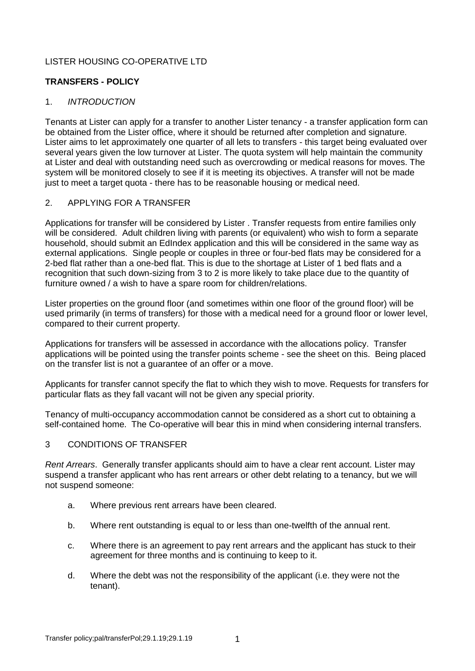# LISTER HOUSING CO-OPERATIVE LTD

## **TRANSFERS - POLICY**

### 1. *INTRODUCTION*

Tenants at Lister can apply for a transfer to another Lister tenancy - a transfer application form can be obtained from the Lister office, where it should be returned after completion and signature. Lister aims to let approximately one quarter of all lets to transfers - this target being evaluated over several years given the low turnover at Lister. The quota system will help maintain the community at Lister and deal with outstanding need such as overcrowding or medical reasons for moves. The system will be monitored closely to see if it is meeting its objectives. A transfer will not be made just to meet a target quota - there has to be reasonable housing or medical need.

### 2. APPLYING FOR A TRANSFER

Applications for transfer will be considered by Lister . Transfer requests from entire families only will be considered. Adult children living with parents (or equivalent) who wish to form a separate household, should submit an EdIndex application and this will be considered in the same way as external applications. Single people or couples in three or four-bed flats may be considered for a 2-bed flat rather than a one-bed flat. This is due to the shortage at Lister of 1 bed flats and a recognition that such down-sizing from 3 to 2 is more likely to take place due to the quantity of furniture owned / a wish to have a spare room for children/relations.

Lister properties on the ground floor (and sometimes within one floor of the ground floor) will be used primarily (in terms of transfers) for those with a medical need for a ground floor or lower level, compared to their current property.

Applications for transfers will be assessed in accordance with the allocations policy. Transfer applications will be pointed using the transfer points scheme - see the sheet on this. Being placed on the transfer list is not a guarantee of an offer or a move.

Applicants for transfer cannot specify the flat to which they wish to move. Requests for transfers for particular flats as they fall vacant will not be given any special priority.

Tenancy of multi-occupancy accommodation cannot be considered as a short cut to obtaining a self-contained home. The Co-operative will bear this in mind when considering internal transfers.

### 3 CONDITIONS OF TRANSFER

*Rent Arrears*. Generally transfer applicants should aim to have a clear rent account. Lister may suspend a transfer applicant who has rent arrears or other debt relating to a tenancy, but we will not suspend someone:

- a. Where previous rent arrears have been cleared.
- b. Where rent outstanding is equal to or less than one-twelfth of the annual rent.
- c. Where there is an agreement to pay rent arrears and the applicant has stuck to their agreement for three months and is continuing to keep to it.
- d. Where the debt was not the responsibility of the applicant (i.e. they were not the tenant).